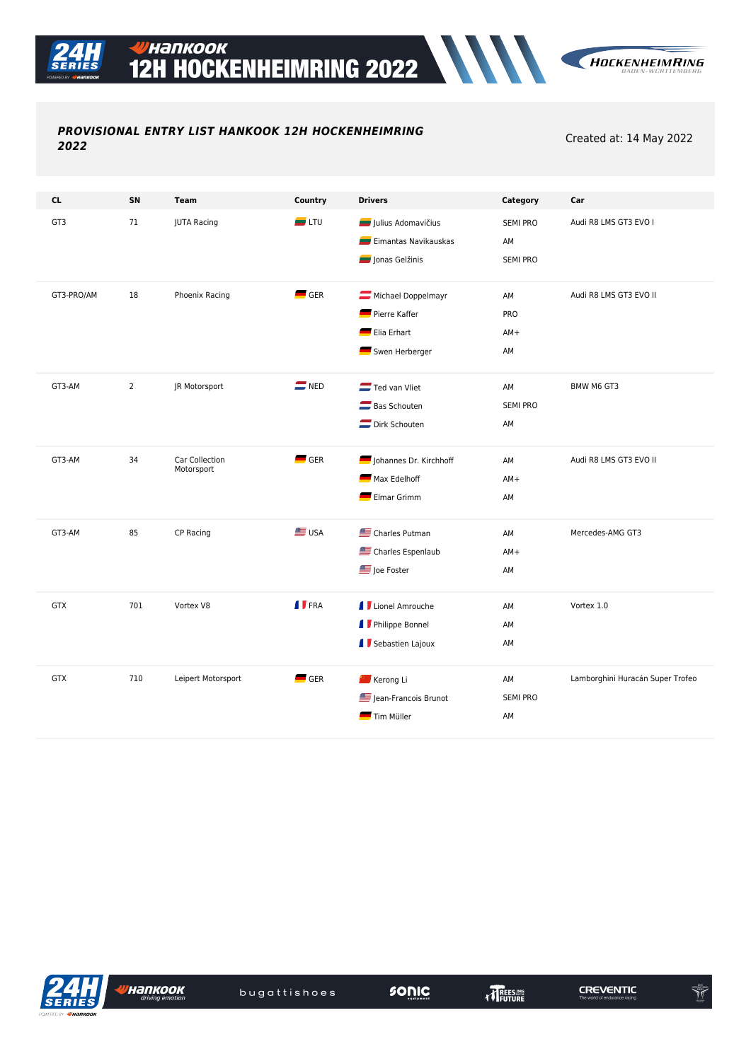## PROVISIONAL ENTRY LIST HANKOOK 12H HOCKENHEIMRING 2022

Created at: 14 May 2022

| <b>CL</b>  | SN             | <b>Team</b>                  | Country            | <b>Drivers</b>                                                           | Category                                 | Car                              |
|------------|----------------|------------------------------|--------------------|--------------------------------------------------------------------------|------------------------------------------|----------------------------------|
| GT3        | 71             | <b>JUTA Racing</b>           | $\blacksquare$ LTU | Julius Adomavičius<br>Eimantas Navikauskas<br>Jonas Gelžinis             | <b>SEMI PRO</b><br>AM<br><b>SEMI PRO</b> | Audi R8 LMS GT3 EVO I            |
| GT3-PRO/AM | 18             | Phoenix Racing               | $\blacksquare$ GER | Michael Doppelmayr<br>Pierre Kaffer<br>Elia Erhart<br>Swen Herberger     | AM<br>PRO<br>$AM+$<br>AM                 | Audi R8 LMS GT3 EVO II           |
| GT3-AM     | $\overline{2}$ | JR Motorsport                | $\blacksquare$ NED | Ted van Vliet<br>Bas Schouten<br>Dirk Schouten                           | AM<br><b>SEMI PRO</b><br>AM              | BMW M6 GT3                       |
| GT3-AM     | 34             | Car Collection<br>Motorsport | $\blacksquare$ GER | Johannes Dr. Kirchhoff<br>Max Edelhoff<br>Elmar Grimm                    | AM<br>$AM+$<br>AM                        | Audi R8 LMS GT3 EVO II           |
| GT3-AM     | 85             | CP Racing                    | <b>SE</b> USA      | Charles Putman<br>Charles Espenlaub<br>Joe Foster                        | AM<br>$AM+$<br>AM                        | Mercedes-AMG GT3                 |
| <b>GTX</b> | 701            | Vortex V8                    | <b>I</b> FRA       | <b>I</b> Lionel Amrouche<br><b>I</b> Philippe Bonnel<br>Sebastien Lajoux | AM<br>AM<br>AM                           | Vortex 1.0                       |
| <b>GTX</b> | 710            | Leipert Motorsport           | GER                | Kerong Li<br>Jean-Francois Brunot<br>Tim Müller                          | AM<br><b>SEMI PRO</b><br>AM              | Lamborghini Huracán Super Trofeo |



,<br>Иапкоок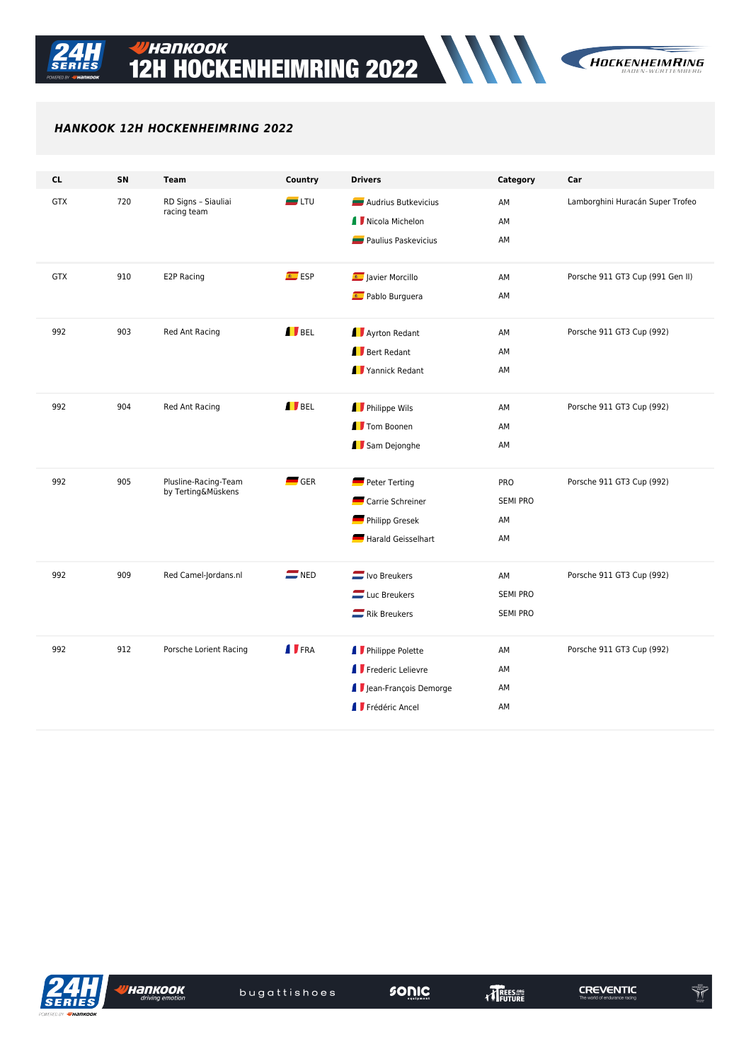

 $\begin{picture}(20,20) \put(0,0){\vector(0,1){10}} \put(15,0){\vector(0,1){10}} \put(15,0){\vector(0,1){10}} \put(15,0){\vector(0,1){10}} \put(15,0){\vector(0,1){10}} \put(15,0){\vector(0,1){10}} \put(15,0){\vector(0,1){10}} \put(15,0){\vector(0,1){10}} \put(15,0){\vector(0,1){10}} \put(15,0){\vector(0,1){10}} \put(15,0){\vector(0,1){10}} \put(15,0){\vector(0$ 

## *HANKOOK 12H HOCKENHEIMRING 2022*

| <b>CL</b>  | SN  | <b>Team</b>            | Country            | <b>Drivers</b>             | Category        | Car                              |
|------------|-----|------------------------|--------------------|----------------------------|-----------------|----------------------------------|
| <b>GTX</b> | 720 | RD Signs - Siauliai    | $\blacksquare$ LTU | Audrius Butkevicius        | AM              | Lamborghini Huracán Super Trofeo |
|            |     | racing team            |                    | I Nicola Michelon          | AM              |                                  |
|            |     |                        |                    | <b>Paulius Paskevicius</b> | AM              |                                  |
|            |     |                        |                    |                            |                 |                                  |
| <b>GTX</b> | 910 | E2P Racing             | ESP                | Javier Morcillo            | AM              | Porsche 911 GT3 Cup (991 Gen II) |
|            |     |                        |                    | Pablo Burguera             | AM              |                                  |
|            |     |                        |                    |                            |                 |                                  |
| 992        | 903 | Red Ant Racing         | <b>I</b> BEL       | <b>Ayrton Redant</b>       | AM              | Porsche 911 GT3 Cup (992)        |
|            |     |                        |                    | Bert Redant                | AM              |                                  |
|            |     |                        |                    | Yannick Redant             | AM              |                                  |
| 992        | 904 | Red Ant Racing         | <b>I</b> BEL       | Philippe Wils              | AM              | Porsche 911 GT3 Cup (992)        |
|            |     |                        |                    | <b>I</b> Tom Boonen        | AM              |                                  |
|            |     |                        |                    | Sam Dejonghe               | AM              |                                  |
|            |     |                        |                    |                            |                 |                                  |
| 992        | 905 | Plusline-Racing-Team   | $\blacksquare$ GER | Peter Terting              | PRO             | Porsche 911 GT3 Cup (992)        |
|            |     | by Terting&Müskens     |                    | Carrie Schreiner           | <b>SEMI PRO</b> |                                  |
|            |     |                        |                    | Philipp Gresek             | AM              |                                  |
|            |     |                        |                    | Harald Geisselhart         | AM              |                                  |
|            |     |                        |                    |                            |                 |                                  |
| 992        | 909 | Red Camel-Jordans.nl   | $\equiv$ NED       | <b>U</b> Ivo Breukers      | AM              | Porsche 911 GT3 Cup (992)        |
|            |     |                        |                    | Luc Breukers               | <b>SEMI PRO</b> |                                  |
|            |     |                        |                    | Rik Breukers               | <b>SEMI PRO</b> |                                  |
|            |     |                        |                    |                            |                 |                                  |
| 992        | 912 | Porsche Lorient Racing | <b>I</b> FRA       | <b>I</b> Philippe Polette  | AM              | Porsche 911 GT3 Cup (992)        |
|            |     |                        |                    | Frederic Lelievre          | AM              |                                  |
|            |     |                        |                    | I Jean-François Demorge    | AM              |                                  |
|            |     |                        |                    | Frédéric Ancel             | AM              |                                  |
|            |     |                        |                    |                            |                 |                                  |



,<br>Иапкоок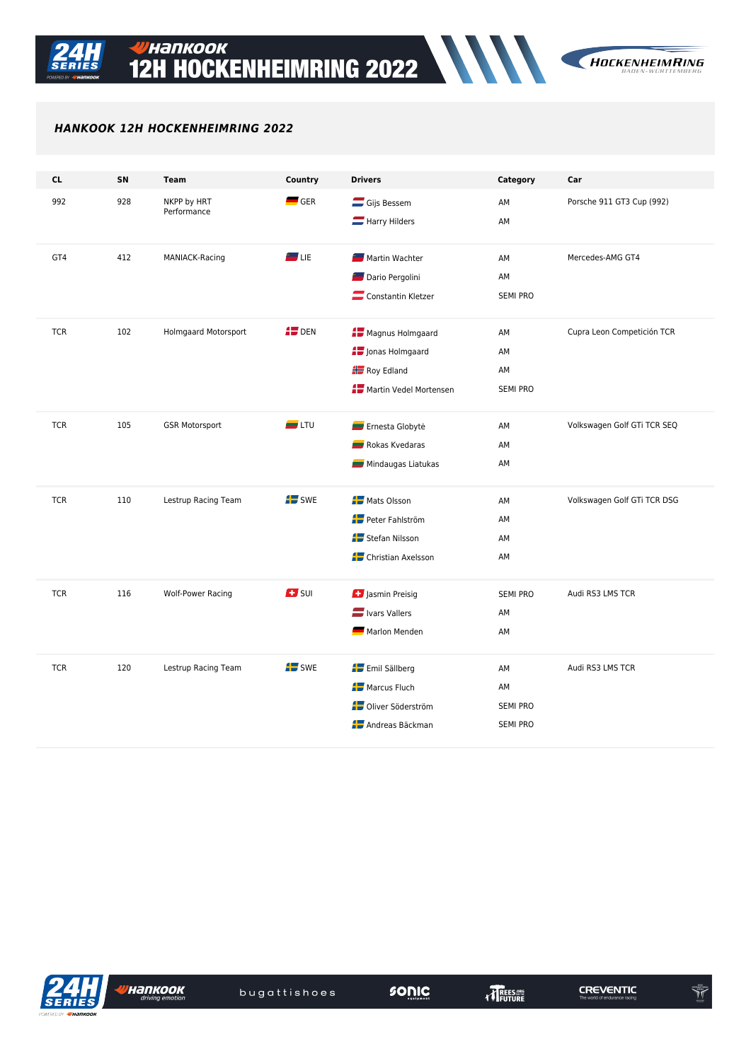

## HANKOOK 12H HOCKENHEIMRING 2022

| <b>CL</b>  | SN  | <b>Team</b>                 | Country            | <b>Drivers</b>                   | Category        | Car                         |
|------------|-----|-----------------------------|--------------------|----------------------------------|-----------------|-----------------------------|
| 992        | 928 | NKPP by HRT<br>Performance  | $-$ GER            | Gijs Bessem                      | AM              | Porsche 911 GT3 Cup (992)   |
|            |     |                             |                    | Harry Hilders                    | AM              |                             |
|            |     |                             | $\blacksquare$ Lie | Martin Wachter                   |                 | Mercedes-AMG GT4            |
| GT4        | 412 | MANIACK-Racing              |                    |                                  | AM              |                             |
|            |     |                             |                    | Dario Pergolini                  | AM              |                             |
|            |     |                             |                    | Constantin Kletzer               | <b>SEMI PRO</b> |                             |
| <b>TCR</b> | 102 | <b>Holmgaard Motorsport</b> | $45$ DEN           | Magnus Holmgaard                 | AM              | Cupra Leon Competición TCR  |
|            |     |                             |                    | Jonas Holmgaard                  | AM              |                             |
|            |     |                             |                    | <b>H</b> Roy Edland              | AM              |                             |
|            |     |                             |                    | <b>AU</b> Martin Vedel Mortensen | <b>SEMI PRO</b> |                             |
|            |     |                             |                    |                                  |                 |                             |
| <b>TCR</b> | 105 | <b>GSR Motorsport</b>       | $\blacksquare$ LTU | Ernesta Globytė                  | AM              | Volkswagen Golf GTi TCR SEQ |
|            |     |                             |                    | Rokas Kvedaras                   | AM              |                             |
|            |     |                             |                    | Mindaugas Liatukas               | AM              |                             |
|            |     |                             |                    |                                  |                 |                             |
| <b>TCR</b> | 110 | Lestrup Racing Team         | <b>AD</b> SWE      | <b>A</b> Mats Olsson             | AM              | Volkswagen Golf GTi TCR DSG |
|            |     |                             |                    | Peter Fahlström                  | AM              |                             |
|            |     |                             |                    | Stefan Nilsson                   | AM              |                             |
|            |     |                             |                    | Christian Axelsson               | AM              |                             |
|            |     |                             |                    |                                  |                 |                             |
| <b>TCR</b> | 116 | <b>Wolf-Power Racing</b>    | $\mathbf{E}$ surf  | Jasmin Preisig                   | <b>SEMI PRO</b> | Audi RS3 LMS TCR            |
|            |     |                             |                    | Ivars Vallers                    | AM              |                             |
|            |     |                             |                    | Marlon Menden                    | AM              |                             |
|            |     |                             |                    |                                  |                 |                             |
| <b>TCR</b> | 120 | Lestrup Racing Team         | $\blacksquare$ SWE | Emil Sällberg                    | AM              | Audi RS3 LMS TCR            |
|            |     |                             |                    | <b>A</b> Marcus Fluch            | AM              |                             |
|            |     |                             |                    | <b>AU</b> Oliver Söderström      | <b>SEMI PRO</b> |                             |
|            |     |                             |                    | Andreas Bäckman                  | <b>SEMI PRO</b> |                             |
|            |     |                             |                    |                                  |                 |                             |